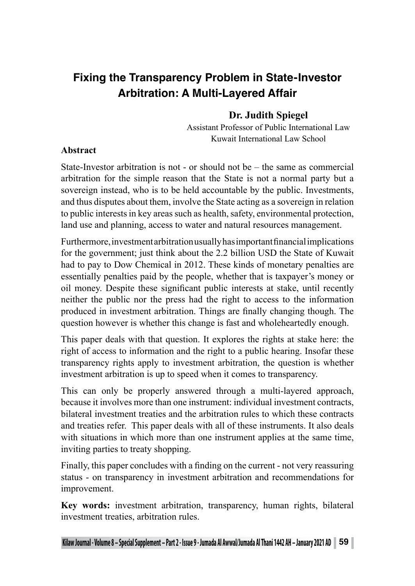# **Fixing the Transparency Problem in State-Investor Arbitration: A Multi-Layered Affair**

# **Dr. Judith Spiegel**

Assistant Professor of Public International Law Kuwait International Law School

### **Abstract**

State-Investor arbitration is not - or should not be – the same as commercial arbitration for the simple reason that the State is not a normal party but a sovereign instead, who is to be held accountable by the public. Investments, and thus disputes about them, involve the State acting as a sovereign in relation to public interests in key areas such as health, safety, environmental protection, land use and planning, access to water and natural resources management.

Furthermore, investment arbitration usually has important financial implications for the government; just think about the 2.2 billion USD the State of Kuwait had to pay to Dow Chemical in 2012. These kinds of monetary penalties are essentially penalties paid by the people, whether that is taxpayer's money or oil money. Despite these significant public interests at stake, until recently neither the public nor the press had the right to access to the information produced in investment arbitration. Things are finally changing though. The question however is whether this change is fast and wholeheartedly enough.

This paper deals with that question. It explores the rights at stake here: the right of access to information and the right to a public hearing. Insofar these transparency rights apply to investment arbitration, the question is whether investment arbitration is up to speed when it comes to transparency.

This can only be properly answered through a multi-layered approach, because it involves more than one instrument: individual investment contracts, bilateral investment treaties and the arbitration rules to which these contracts and treaties refer. This paper deals with all of these instruments. It also deals with situations in which more than one instrument applies at the same time, inviting parties to treaty shopping.

Finally, this paper concludes with a finding on the current - not very reassuring status - on transparency in investment arbitration and recommendations for improvement.

**Key words:** investment arbitration, transparency, human rights, bilateral investment treaties, arbitration rules.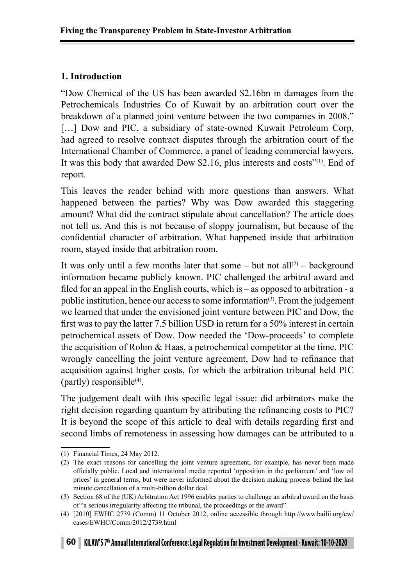# **1. Introduction**

"Dow Chemical of the US has been awarded \$2.16bn in damages from the Petrochemicals Industries Co of Kuwait by an arbitration court over the breakdown of a planned joint venture between the two companies in 2008." [...] Dow and PIC, a subsidiary of state-owned Kuwait Petroleum Corp, had agreed to resolve contract disputes through the arbitration court of the International Chamber of Commerce, a panel of leading commercial lawyers. It was this body that awarded Dow \$2.16, plus interests and costs<sup>"(1)</sup>. End of report.

This leaves the reader behind with more questions than answers. What happened between the parties? Why was Dow awarded this staggering amount? What did the contract stipulate about cancellation? The article does not tell us. And this is not because of sloppy journalism, but because of the confidential character of arbitration. What happened inside that arbitration room, stayed inside that arbitration room.

It was only until a few months later that some – but not all<sup>(2)</sup> – background information became publicly known. PIC challenged the arbitral award and filed for an appeal in the English courts, which is – as opposed to arbitration - a public institution, hence our access to some information(3). From the judgement we learned that under the envisioned joint venture between PIC and Dow, the first was to pay the latter 7.5 billion USD in return for a 50% interest in certain petrochemical assets of Dow. Dow needed the 'Dow-proceeds' to complete the acquisition of Rohm & Haas, a petrochemical competitor at the time. PIC wrongly cancelling the joint venture agreement, Dow had to refinance that acquisition against higher costs, for which the arbitration tribunal held PIC (partly) responsible<sup>(4)</sup>.

The judgement dealt with this specific legal issue: did arbitrators make the right decision regarding quantum by attributing the refinancing costs to PIC? It is beyond the scope of this article to deal with details regarding first and second limbs of remoteness in assessing how damages can be attributed to a

<sup>(1)</sup> Financial Times, 24 May 2012.

<sup>(2)</sup> The exact reasons for cancelling the joint venture agreement, for example, has never been made officially public. Local and international media reported 'opposition in the parliament' and 'low oil prices' in general terms, but were never informed about the decision making process behind the last minute cancellation of a multi-billion dollar deal.

<sup>(3)</sup> Section 68 of the (UK) Arbitration Act 1996 enables parties to challenge an arbitral award on the basis of "a serious irregularity affecting the tribunal, the proceedings or the award".

<sup>(4)</sup> [2010] EWHC 2739 (Comm) 11 October 2012, online accessible through http://www.bailii.org/ew/ cases/EWHC/Comm/2012/2739.html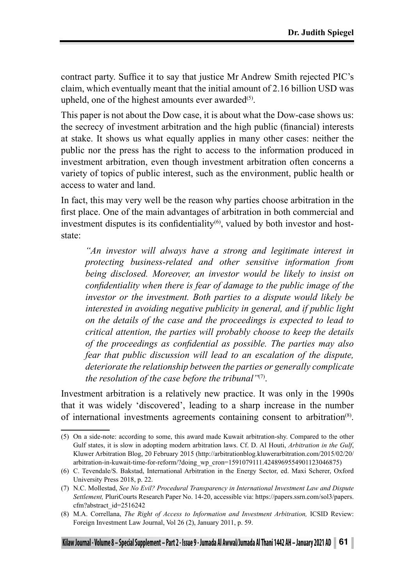contract party. Suffice it to say that justice Mr Andrew Smith rejected PIC's claim, which eventually meant that the initial amount of 2.16 billion USD was upheld, one of the highest amounts ever awarded $(5)$ .

This paper is not about the Dow case, it is about what the Dow-case shows us: the secrecy of investment arbitration and the high public (financial) interests at stake. It shows us what equally applies in many other cases: neither the public nor the press has the right to access to the information produced in investment arbitration, even though investment arbitration often concerns a variety of topics of public interest, such as the environment, public health or access to water and land.

In fact, this may very well be the reason why parties choose arbitration in the first place. One of the main advantages of arbitration in both commercial and investment disputes is its confidentiality<sup>(6)</sup>, valued by both investor and hoststate:

*"An investor will always have a strong and legitimate interest in protecting business-related and other sensitive information from being disclosed. Moreover, an investor would be likely to insist on confidentiality when there is fear of damage to the public image of the investor or the investment. Both parties to a dispute would likely be interested in avoiding negative publicity in general, and if public light on the details of the case and the proceedings is expected to lead to critical attention, the parties will probably choose to keep the details of the proceedings as confidential as possible. The parties may also fear that public discussion will lead to an escalation of the dispute, deteriorate the relationship between the parties or generally complicate the resolution of the case before the tribunal"*(7).

Investment arbitration is a relatively new practice. It was only in the 1990s that it was widely 'discovered', leading to a sharp increase in the number of international investments agreements containing consent to arbitration<sup>(8)</sup>.

<sup>(5)</sup> On a side-note: according to some, this award made Kuwait arbitration-shy. Compared to the other Gulf states, it is slow in adopting modern arbitration laws. Cf. D. Al Houti, *Arbitration in the Gulf*, Kluwer Arbitration Blog, 20 February 2015 (http://arbitrationblog.kluwerarbitration.com/2015/02/20/ arbitration-in-kuwait-time-for-reform/?doing\_wp\_cron=1591079111.4248969554901123046875)

<sup>(6)</sup> C. Tevendale/S. Bakstad, International Arbitration in the Energy Sector, ed. Maxi Scherer, Oxford University Press 2018, p. 22.

<sup>(7)</sup> N.C. Mollestad, *See No Evil? Procedural Transparency in International Investment Law and Dispute Settlement,* PluriCourts Research Paper No. 14-20, accessible via: https://papers.ssrn.com/sol3/papers. cfm?abstract\_id=2516242

<sup>(8)</sup> M.A. Correllana, *The Right of Access to Information and Investment Arbitration,* ICSID Review: Foreign Investment Law Journal, Vol 26 (2), January 2011, p. 59.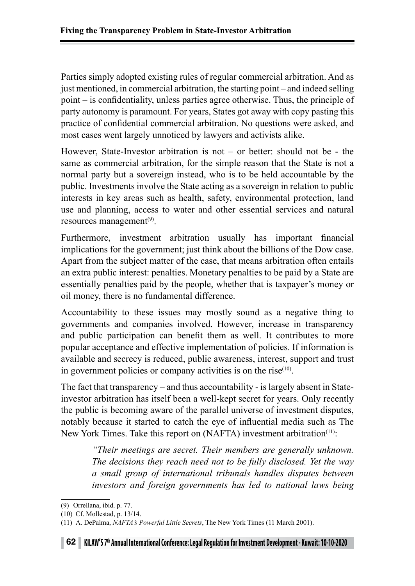Parties simply adopted existing rules of regular commercial arbitration. And as just mentioned, in commercial arbitration, the starting point – and indeed selling point – is confidentiality, unless parties agree otherwise. Thus, the principle of party autonomy is paramount. For years, States got away with copy pasting this practice of confidential commercial arbitration. No questions were asked, and most cases went largely unnoticed by lawyers and activists alike.

However, State-Investor arbitration is not – or better: should not be - the same as commercial arbitration, for the simple reason that the State is not a normal party but a sovereign instead, who is to be held accountable by the public. Investments involve the State acting as a sovereign in relation to public interests in key areas such as health, safety, environmental protection, land use and planning, access to water and other essential services and natural resources management<sup>(9)</sup>.

Furthermore, investment arbitration usually has important financial implications for the government; just think about the billions of the Dow case. Apart from the subject matter of the case, that means arbitration often entails an extra public interest: penalties. Monetary penalties to be paid by a State are essentially penalties paid by the people, whether that is taxpayer's money or oil money, there is no fundamental difference.

Accountability to these issues may mostly sound as a negative thing to governments and companies involved. However, increase in transparency and public participation can benefit them as well. It contributes to more popular acceptance and effective implementation of policies. If information is available and secrecy is reduced, public awareness, interest, support and trust in government policies or company activities is on the rise $(10)$ .

The fact that transparency – and thus accountability - is largely absent in Stateinvestor arbitration has itself been a well-kept secret for years. Only recently the public is becoming aware of the parallel universe of investment disputes, notably because it started to catch the eye of influential media such as The New York Times. Take this report on (NAFTA) investment arbitration<sup>(11)</sup>:

> *"Their meetings are secret. Their members are generally unknown. The decisions they reach need not to be fully disclosed. Yet the way a small group of international tribunals handles disputes between investors and foreign governments has led to national laws being*

<sup>(9)</sup> Orrellana, ibid. p. 77.

<sup>(10)</sup> Cf. Mollestad, p. 13/14.

<sup>(11)</sup> A. DePalma, *NAFTA's Powerful Little Secrets*, The New York Times (11 March 2001).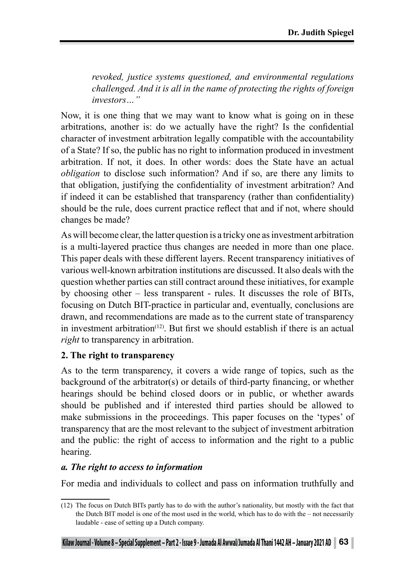*revoked, justice systems questioned, and environmental regulations challenged. And it is all in the name of protecting the rights of foreign investors…"*

Now, it is one thing that we may want to know what is going on in these arbitrations, another is: do we actually have the right? Is the confidential character of investment arbitration legally compatible with the accountability of a State? If so, the public has no right to information produced in investment arbitration. If not, it does. In other words: does the State have an actual *obligation* to disclose such information? And if so, are there any limits to that obligation, justifying the confidentiality of investment arbitration? And if indeed it can be established that transparency (rather than confidentiality) should be the rule, does current practice reflect that and if not, where should changes be made?

As will become clear, the latter question is a tricky one as investment arbitration is a multi-layered practice thus changes are needed in more than one place. This paper deals with these different layers. Recent transparency initiatives of various well-known arbitration institutions are discussed. It also deals with the question whether parties can still contract around these initiatives, for example by choosing other – less transparent - rules. It discusses the role of BITs, focusing on Dutch BIT-practice in particular and, eventually, conclusions are drawn, and recommendations are made as to the current state of transparency in investment arbitration<sup> $(12)$ </sup>. But first we should establish if there is an actual *right* to transparency in arbitration.

### **2. The right to transparency**

As to the term transparency, it covers a wide range of topics, such as the background of the arbitrator(s) or details of third-party financing, or whether hearings should be behind closed doors or in public, or whether awards should be published and if interested third parties should be allowed to make submissions in the proceedings. This paper focuses on the 'types' of transparency that are the most relevant to the subject of investment arbitration and the public: the right of access to information and the right to a public hearing.

### *a. The right to access to information*

For media and individuals to collect and pass on information truthfully and

<sup>(12)</sup> The focus on Dutch BITs partly has to do with the author's nationality, but mostly with the fact that the Dutch BIT model is one of the most used in the world, which has to do with the – not necessarily laudable - ease of setting up a Dutch company.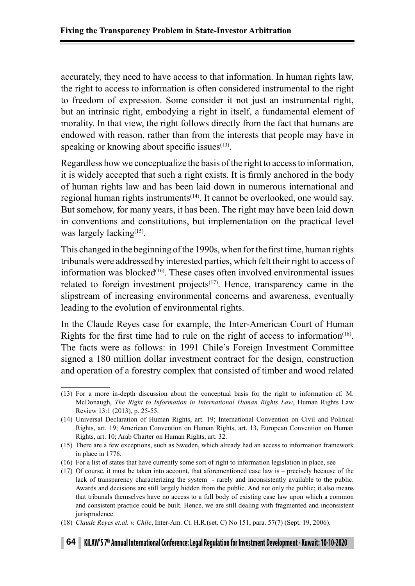accurately, they need to have access to that information. In human rights law, the right to access to information is often considered instrumental to the right to freedom of expression. Some consider it not just an instrumental right, but an intrinsic right, embodying a right in itself, a fundamental element of morality. In that view, the right follows directly from the fact that humans are endowed with reason, rather than from the interests that people may have in speaking or knowing about specific issues $(13)$ .

Regardless how we conceptualize the basis of the right to access to information, it is widely accepted that such a right exists. It is firmly anchored in the body of human rights law and has been laid down in numerous international and regional human rights instruments<sup>(14)</sup>. It cannot be overlooked, one would say. But somehow, for many years, it has been. The right may have been laid down in conventions and constitutions, but implementation on the practical level was largely lacking $(15)$ .

This changed in the beginning of the 1990s, when for the first time, human rights tribunals were addressed by interested parties, which felt their right to access of information was blocked $(16)$ . These cases often involved environmental issues related to foreign investment projects<sup> $(17)$ </sup>. Hence, transparency came in the slipstream of increasing environmental concerns and awareness, eventually leading to the evolution of environmental rights.

In the Claude Reyes case for example, the Inter-American Court of Human Rights for the first time had to rule on the right of access to information<sup> $(18)$ </sup>. The facts were as follows: in 1991 Chile's Foreign Investment Committee signed a 180 million dollar investment contract for the design, construction and operation of a forestry complex that consisted of timber and wood related

<sup>(13)</sup> For a more in-depth discussion about the conceptual basis for the right to information cf. M. McDonaugh, *The Right to Information in International Human Rights Law*, Human Rights Law Review 13:1 (2013), p. 25-55.

<sup>(14)</sup> Universal Declaration of Human Rights, art. 19; International Convention on Civil and Political Rights, art. 19; American Convention on Human Rights, art. 13, European Convention on Human Rights, art. 10; Arab Charter on Human Rights, art. 32.

<sup>(15)</sup> There are a few exceptions, such as Sweden, which already had an access to information framework in place in 1776.

<sup>(16)</sup> For a list of states that have currently some sort of right to information legislation in place, see

<sup>(17)</sup> Of course, it must be taken into account, that aforementioned case law is – precisely because of the lack of transparency characterizing the system - rarely and inconsistently available to the public. Awards and decisions are still largely hidden from the public. And not only the public; it also means that tribunals themselves have no access to a full body of existing case law upon which a common and consistent practice could be built. Hence, we are still dealing with fragmented and inconsistent jurisprudence.

<sup>(18)</sup> *Claude Reyes et.al. v. Chile*, Inter-Am. Ct. H.R.(set. C) No 151, para. 57(7) (Sept. 19, 2006).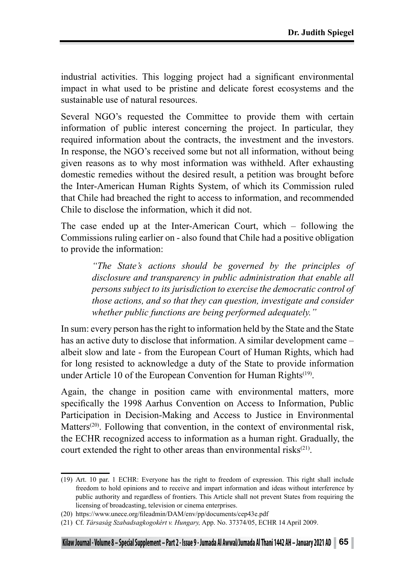industrial activities. This logging project had a significant environmental impact in what used to be pristine and delicate forest ecosystems and the sustainable use of natural resources.

Several NGO's requested the Committee to provide them with certain information of public interest concerning the project. In particular, they required information about the contracts, the investment and the investors. In response, the NGO's received some but not all information, without being given reasons as to why most information was withheld. After exhausting domestic remedies without the desired result, a petition was brought before the Inter-American Human Rights System, of which its Commission ruled that Chile had breached the right to access to information, and recommended Chile to disclose the information, which it did not.

The case ended up at the Inter-American Court, which – following the Commissions ruling earlier on - also found that Chile had a positive obligation to provide the information:

> *"The State's actions should be governed by the principles of disclosure and transparency in public administration that enable all persons subject to its jurisdiction to exercise the democratic control of those actions, and so that they can question, investigate and consider whether public functions are being performed adequately."*

In sum: every person has the right to information held by the State and the State has an active duty to disclose that information. A similar development came – albeit slow and late - from the European Court of Human Rights, which had for long resisted to acknowledge a duty of the State to provide information under Article 10 of the European Convention for Human Rights<sup> $(19)$ </sup>.

Again, the change in position came with environmental matters, more specifically the 1998 Aarhus Convention on Access to Information, Public Participation in Decision-Making and Access to Justice in Environmental Matters<sup> $(20)$ </sup>. Following that convention, in the context of environmental risk, the ECHR recognized access to information as a human right. Gradually, the court extended the right to other areas than environmental risks<sup>(21)</sup>.

<sup>(19)</sup> Art. 10 par. 1 ECHR: Everyone has the right to freedom of expression. This right shall include freedom to hold opinions and to receive and impart information and ideas without interference by public authority and regardless of frontiers. This Article shall not prevent States from requiring the licensing of broadcasting, television or cinema enterprises.

<sup>(20)</sup> https://www.unece.org/fileadmin/DAM/env/pp/documents/cep43e.pdf

<sup>(21)</sup> Cf. *Társaság Szabadsagkogokért v. Hungary,* App. No. 37374/05, ECHR 14 April 2009.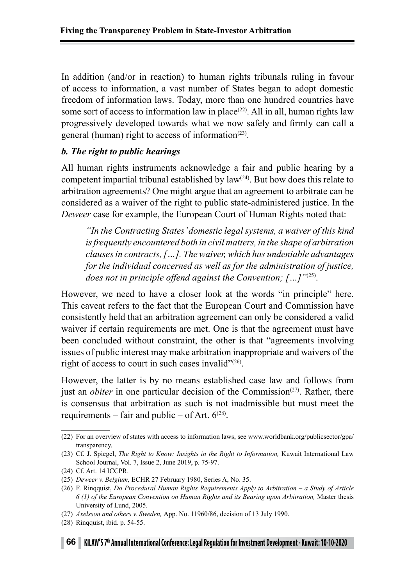In addition (and/or in reaction) to human rights tribunals ruling in favour of access to information, a vast number of States began to adopt domestic freedom of information laws. Today, more than one hundred countries have some sort of access to information law in place<sup>(22)</sup>. All in all, human rights law progressively developed towards what we now safely and firmly can call a general (human) right to access of information $(23)$ .

### *b. The right to public hearings*

All human rights instruments acknowledge a fair and public hearing by a competent impartial tribunal established by  $law^{(24)}$ . But how does this relate to arbitration agreements? One might argue that an agreement to arbitrate can be considered as a waiver of the right to public state-administered justice. In the *Deweer* case for example, the European Court of Human Rights noted that:

*"In the Contracting States' domestic legal systems, a waiver of this kind is frequently encountered both in civil matters, in the shape of arbitration clauses in contracts, […]. The waiver, which has undeniable advantages for the individual concerned as well as for the administration of justice, does not in principle offend against the Convention; […]"*(25).

However, we need to have a closer look at the words "in principle" here. This caveat refers to the fact that the European Court and Commission have consistently held that an arbitration agreement can only be considered a valid waiver if certain requirements are met. One is that the agreement must have been concluded without constraint, the other is that "agreements involving issues of public interest may make arbitration inappropriate and waivers of the right of access to court in such cases invalid"<sup>(26)</sup>.

However, the latter is by no means established case law and follows from just an *obiter* in one particular decision of the Commission<sup>(27)</sup>. Rather, there is consensus that arbitration as such is not inadmissible but must meet the requirements – fair and public – of Art.  $6^{(28)}$ .

<sup>(22)</sup> For an overview of states with access to information laws, see www.worldbank.org/publicsector/gpa/ transparency.

<sup>(23)</sup> Cf. J. Spiegel, *The Right to Know: Insights in the Right to Information,* Kuwait International Law School Journal, Vol. 7, Issue 2, June 2019, p. 75-97.

<sup>(24)</sup> Cf. Art. 14 ICCPR.

<sup>(25)</sup> *Deweer v. Belgium,* ECHR 27 February 1980, Series A, No. 35.

<sup>(26)</sup> F. Rinqquist, *Do Procedural Human Rights Requirements Apply to Arbitration – a Study of Article 6 (1) of the European Convention on Human Rights and its Bearing upon Arbitration,* Master thesis University of Lund, 2005.

<sup>(27)</sup> *Axelsson and others v. Sweden,* App. No. 11960/86, decision of 13 July 1990.

<sup>(28)</sup> Rinqquist, ibid. p. 54-55.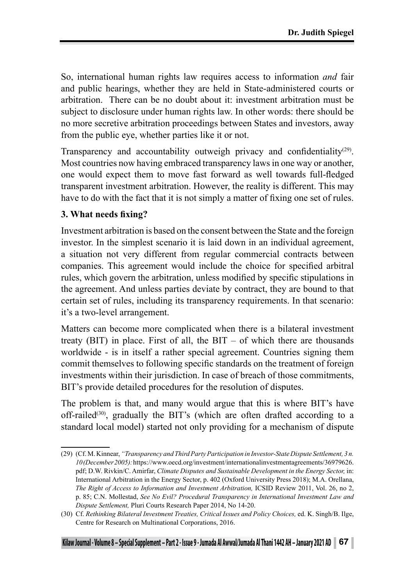So, international human rights law requires access to information *and* fair and public hearings, whether they are held in State-administered courts or arbitration. There can be no doubt about it: investment arbitration must be subject to disclosure under human rights law. In other words: there should be no more secretive arbitration proceedings between States and investors, away from the public eye, whether parties like it or not.

Transparency and accountability outweigh privacy and confidentiality<sup>(29)</sup>. Most countries now having embraced transparency laws in one way or another, one would expect them to move fast forward as well towards full-fledged transparent investment arbitration. However, the reality is different. This may have to do with the fact that it is not simply a matter of fixing one set of rules.

### **3. What needs fixing?**

Investment arbitration is based on the consent between the State and the foreign investor. In the simplest scenario it is laid down in an individual agreement, a situation not very different from regular commercial contracts between companies. This agreement would include the choice for specified arbitral rules, which govern the arbitration, unless modified by specific stipulations in the agreement. And unless parties deviate by contract, they are bound to that certain set of rules, including its transparency requirements. In that scenario: it's a two-level arrangement.

Matters can become more complicated when there is a bilateral investment treaty (BIT) in place. First of all, the  $BIT - of$  which there are thousands worldwide - is in itself a rather special agreement. Countries signing them commit themselves to following specific standards on the treatment of foreign investments within their jurisdiction. In case of breach of those commitments, BIT's provide detailed procedures for the resolution of disputes.

The problem is that, and many would argue that this is where BIT's have off-railed<sup> $(30)$ </sup>, gradually the BIT's (which are often drafted according to a standard local model) started not only providing for a mechanism of dispute

<sup>(29)</sup> (Cf. M. Kinnear, *"Transparency and Third Party Participation in Investor-State Dispute Settlement, 3 n. 10 (December 2005):* https://www.oecd.org/investment/internationalinvestmentagreements/36979626. pdf; D.W. Rivkin/C. Amirfar, *Climate Disputes and Sustainable Development in the Energy Sector,* in: International Arbitration in the Energy Sector, p. 402 (Oxford University Press 2018); M.A. Orellana, *The Right of Access to Information and Investment Arbitration,* ICSID Review 2011, Vol. 26, no 2, p. 85; C.N. Mollestad, *See No Evil? Procedural Transparency in International Investment Law and Dispute Settlement,* Pluri Courts Research Paper 2014, No 14-20.

<sup>(30)</sup> Cf. *Rethinking Bilateral Investment Treaties, Critical Issues and Policy Choices,* ed. K. Singh/B. Ilge, Centre for Research on Multinational Corporations, 2016.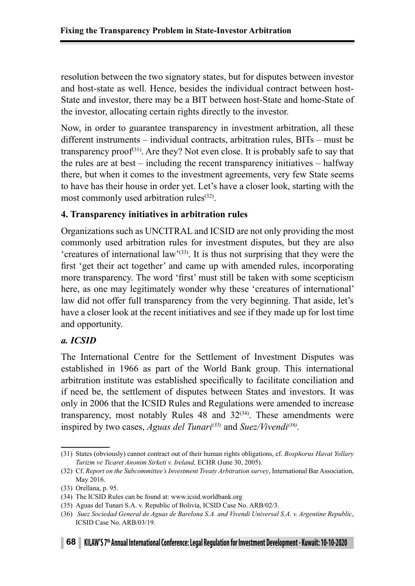resolution between the two signatory states, but for disputes between investor and host-state as well. Hence, besides the individual contract between host-State and investor, there may be a BIT between host-State and home-State of the investor, allocating certain rights directly to the investor.

Now, in order to guarantee transparency in investment arbitration, all these different instruments – individual contracts, arbitration rules, BITs – must be transparency proof<sup> $(31)$ </sup>. Are they? Not even close. It is probably safe to say that the rules are at best – including the recent transparency initiatives – halfway there, but when it comes to the investment agreements, very few State seems to have has their house in order yet. Let's have a closer look, starting with the most commonly used arbitration rules<sup>(32)</sup>.

### **4. Transparency initiatives in arbitration rules**

Organizations such as UNCITRAL and ICSID are not only providing the most commonly used arbitration rules for investment disputes, but they are also  $c$  creatures of international law<sup> $(33)$ </sup>. It is thus not surprising that they were the first 'get their act together' and came up with amended rules, incorporating more transparency. The word 'first' must still be taken with some scepticism here, as one may legitimately wonder why these 'creatures of international' law did not offer full transparency from the very beginning. That aside, let's have a closer look at the recent initiatives and see if they made up for lost time and opportunity.

# *a. ICSID*

The International Centre for the Settlement of Investment Disputes was established in 1966 as part of the World Bank group. This international arbitration institute was established specifically to facilitate conciliation and if need be, the settlement of disputes between States and investors. It was only in 2006 that the ICSID Rules and Regulations were amended to increase transparency, most notably Rules  $48$  and  $32^{(34)}$ . These amendments were inspired by two cases, *Aguas del Tunari*<sup>(35)</sup> and *Suez/Vivendi*<sup>(36)</sup>*.* 

<sup>(31)</sup> States (obviously) cannot contract out of their human rights obligations, cf. *Bosphorus Havat Yollary Turizm ve Ticaret Anonim Sirketi v. Ireland,* ECHR (June 30, 2005).

<sup>(32)</sup> Cf. *Report on the Subcommittee's Investment Treaty Arbitration survey*, International Bar Association, May 2016.

<sup>(33)</sup> Orellana, p. 95.

<sup>(34)</sup> The ICSID Rules can be found at: www.icsid.worldbank.org

<sup>(35)</sup> Aguas del Tunari S.A. v. Republic of Bolivia, ICSID Case No. ARB/02/3.

<sup>(36)</sup> *Suez Sociedad General de Aguas de Barelona S.A. and Vivendi Universal S.A. v. Argentine Republic*, ICSID Case No. ARB/03/19.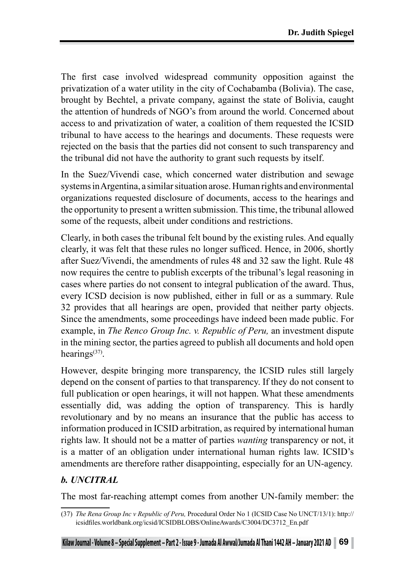The first case involved widespread community opposition against the privatization of a water utility in the city of Cochabamba (Bolivia). The case, brought by Bechtel, a private company, against the state of Bolivia, caught the attention of hundreds of NGO's from around the world. Concerned about access to and privatization of water, a coalition of them requested the ICSID tribunal to have access to the hearings and documents. These requests were rejected on the basis that the parties did not consent to such transparency and the tribunal did not have the authority to grant such requests by itself.

In the Suez/Vivendi case, which concerned water distribution and sewage systems in Argentina, a similar situation arose. Human rights and environmental organizations requested disclosure of documents, access to the hearings and the opportunity to present a written submission. This time, the tribunal allowed some of the requests, albeit under conditions and restrictions.

Clearly, in both cases the tribunal felt bound by the existing rules. And equally clearly, it was felt that these rules no longer sufficed. Hence, in 2006, shortly after Suez/Vivendi, the amendments of rules 48 and 32 saw the light. Rule 48 now requires the centre to publish excerpts of the tribunal's legal reasoning in cases where parties do not consent to integral publication of the award. Thus, every ICSD decision is now published, either in full or as a summary. Rule 32 provides that all hearings are open, provided that neither party objects. Since the amendments, some proceedings have indeed been made public. For example, in *The Renco Group Inc. v. Republic of Peru,* an investment dispute in the mining sector, the parties agreed to publish all documents and hold open hearings(37).

However, despite bringing more transparency, the ICSID rules still largely depend on the consent of parties to that transparency. If they do not consent to full publication or open hearings, it will not happen. What these amendments essentially did, was adding the option of transparency. This is hardly revolutionary and by no means an insurance that the public has access to information produced in ICSID arbitration, as required by international human rights law. It should not be a matter of parties *wanting* transparency or not, it is a matter of an obligation under international human rights law. ICSID's amendments are therefore rather disappointing, especially for an UN-agency.

# *b. UNCITRAL*

The most far-reaching attempt comes from another UN-family member: the

<sup>(37)</sup> *The Rena Group Inc v Republic of Peru,* Procedural Order No 1 (ICSID Case No UNCT/13/1): http:// icsidfiles.worldbank.org/icsid/ICSIDBLOBS/OnlineAwards/C3004/DC3712\_En.pdf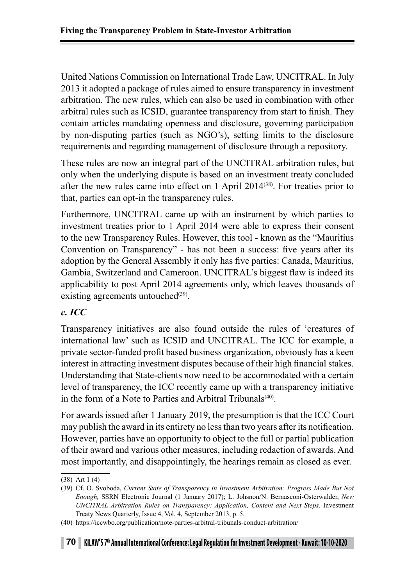United Nations Commission on International Trade Law, UNCITRAL. In July 2013 it adopted a package of rules aimed to ensure transparency in investment arbitration. The new rules, which can also be used in combination with other arbitral rules such as ICSID, guarantee transparency from start to finish. They contain articles mandating openness and disclosure, governing participation by non-disputing parties (such as NGO's), setting limits to the disclosure requirements and regarding management of disclosure through a repository.

These rules are now an integral part of the UNCITRAL arbitration rules, but only when the underlying dispute is based on an investment treaty concluded after the new rules came into effect on 1 April 2014<sup>(38)</sup>. For treaties prior to that, parties can opt-in the transparency rules.

Furthermore, UNCITRAL came up with an instrument by which parties to investment treaties prior to 1 April 2014 were able to express their consent to the new Transparency Rules. However, this tool - known as the "Mauritius Convention on Transparency" - has not been a success: five years after its adoption by the General Assembly it only has five parties: Canada, Mauritius, Gambia, Switzerland and Cameroon. UNCITRAL's biggest flaw is indeed its applicability to post April 2014 agreements only, which leaves thousands of existing agreements untouched $(39)$ .

# *c. ICC*

Transparency initiatives are also found outside the rules of 'creatures of international law' such as ICSID and UNCITRAL. The ICC for example, a private sector-funded profit based business organization, obviously has a keen interest in attracting investment disputes because of their high financial stakes. Understanding that State-clients now need to be accommodated with a certain level of transparency, the ICC recently came up with a transparency initiative in the form of a Note to Parties and Arbitral Tribunals<sup> $(40)$ </sup>.

For awards issued after 1 January 2019, the presumption is that the ICC Court may publish the award in its entirety no less than two years after its notification. However, parties have an opportunity to object to the full or partial publication of their award and various other measures, including redaction of awards. And most importantly, and disappointingly, the hearings remain as closed as ever.

<sup>(38)</sup> Art 1 (4)

<sup>(39)</sup> Cf. O. Svoboda, *Current State of Transparency in Investment Arbitration: Progress Made But Not Enough,* SSRN Electronic Journal (1 January 2017); L. Johsnon/N. Bernasconi-Osterwalder, *New UNCITRAL Arbitration Rules on Transparency: Application, Content and Next Steps, Investment* Treaty News Quarterly, Issue 4, Vol. 4, September 2013, p. 5.

<sup>(40)</sup> https://iccwbo.org/publication/note-parties-arbitral-tribunals-conduct-arbitration/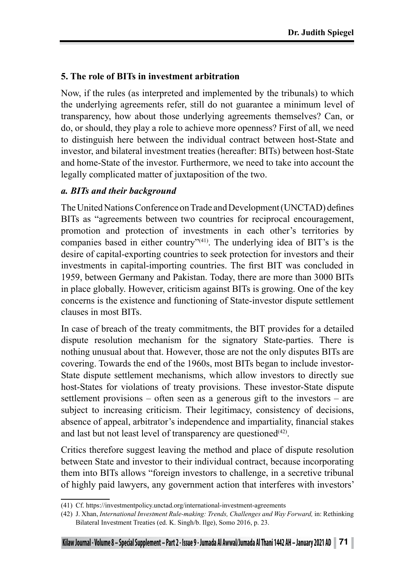# **5. The role of BITs in investment arbitration**

Now, if the rules (as interpreted and implemented by the tribunals) to which the underlying agreements refer, still do not guarantee a minimum level of transparency, how about those underlying agreements themselves? Can, or do, or should, they play a role to achieve more openness? First of all, we need to distinguish here between the individual contract between host-State and investor, and bilateral investment treaties (hereafter: BITs) between host-State and home-State of the investor. Furthermore, we need to take into account the legally complicated matter of juxtaposition of the two.

### *a. BITs and their background*

The United Nations Conference on Trade and Development (UNCTAD) defines BITs as "agreements between two countries for reciprocal encouragement, promotion and protection of investments in each other's territories by companies based in either country"(41). The underlying idea of BIT's is the desire of capital-exporting countries to seek protection for investors and their investments in capital-importing countries. The first BIT was concluded in 1959, between Germany and Pakistan. Today, there are more than 3000 BITs in place globally. However, criticism against BITs is growing. One of the key concerns is the existence and functioning of State-investor dispute settlement clauses in most BITs.

In case of breach of the treaty commitments, the BIT provides for a detailed dispute resolution mechanism for the signatory State-parties. There is nothing unusual about that. However, those are not the only disputes BITs are covering. Towards the end of the 1960s, most BITs began to include investor-State dispute settlement mechanisms, which allow investors to directly sue host-States for violations of treaty provisions. These investor-State dispute settlement provisions – often seen as a generous gift to the investors – are subject to increasing criticism. Their legitimacy, consistency of decisions, absence of appeal, arbitrator's independence and impartiality, financial stakes and last but not least level of transparency are questioned  $(42)$ .

Critics therefore suggest leaving the method and place of dispute resolution between State and investor to their individual contract, because incorporating them into BITs allows "foreign investors to challenge, in a secretive tribunal of highly paid lawyers, any government action that interferes with investors'

<sup>(41)</sup> Cf. https://investmentpolicy.unctad.org/international-investment-agreements

<sup>(42)</sup> J. Xhan, *International Investment Rule-making: Trends, Challenges and Way Forward,* in: Rethinking Bilateral Investment Treaties (ed. K. Singh/b. Ilge), Somo 2016, p. 23.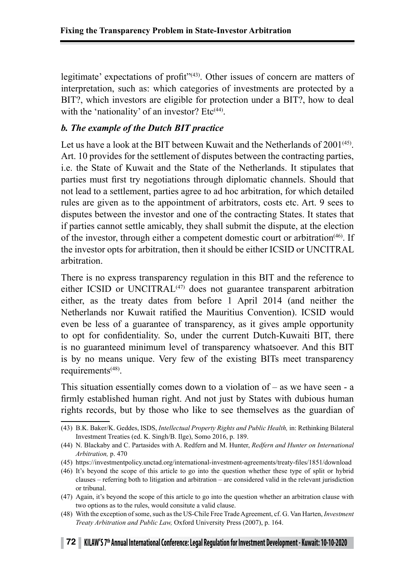legitimate' expectations of profit"(43). Other issues of concern are matters of interpretation, such as: which categories of investments are protected by a BIT?, which investors are eligible for protection under a BIT?, how to deal with the 'nationality' of an investor? Etc<sup>(44)</sup>.

#### *b. The example of the Dutch BIT practice*

Let us have a look at the BIT between Kuwait and the Netherlands of 2001<sup>(45)</sup>. Art. 10 provides for the settlement of disputes between the contracting parties, i.e. the State of Kuwait and the State of the Netherlands. It stipulates that parties must first try negotiations through diplomatic channels. Should that not lead to a settlement, parties agree to ad hoc arbitration, for which detailed rules are given as to the appointment of arbitrators, costs etc. Art. 9 sees to disputes between the investor and one of the contracting States. It states that if parties cannot settle amicably, they shall submit the dispute, at the election of the investor, through either a competent domestic court or arbitration(46). If the investor opts for arbitration, then it should be either ICSID or UNCITRAL arbitration.

There is no express transparency regulation in this BIT and the reference to either ICSID or UNCITRAL $(47)$  does not guarantee transparent arbitration either, as the treaty dates from before 1 April 2014 (and neither the Netherlands nor Kuwait ratified the Mauritius Convention). ICSID would even be less of a guarantee of transparency, as it gives ample opportunity to opt for confidentiality. So, under the current Dutch-Kuwaiti BIT, there is no guaranteed minimum level of transparency whatsoever. And this BIT is by no means unique. Very few of the existing BITs meet transparency requirements<sup>(48)</sup>.

This situation essentially comes down to a violation of – as we have seen - a firmly established human right. And not just by States with dubious human rights records, but by those who like to see themselves as the guardian of

<sup>(43)</sup> B.K. Baker/K. Geddes, ISDS, *Intellectual Property Rights and Public Health,* in: Rethinking Bilateral Investment Treaties (ed. K. Singh/B. Ilge), Somo 2016, p. 189.

<sup>(44)</sup> N. Blackaby and C. Partasides with A. Redfern and M. Hunter, *Redfern and Hunter on International Arbitration,* p. 470

<sup>(45)</sup> https://investmentpolicy.unctad.org/international-investment-agreements/treaty-files/1851/download

<sup>(46)</sup> It's beyond the scope of this article to go into the question whether these type of split or hybrid clauses – referring both to litigation and arbitration – are considered valid in the relevant jurisdiction or tribunal.

<sup>(47)</sup> Again, it's beyond the scope of this article to go into the question whether an arbitration clause with two options as to the rules, would consitute a valid clause.

<sup>(48)</sup> With the exception of some, such as the US-Chile Free Trade Agreement, cf. G. Van Harten, *Investment Treaty Arbitration and Public Law,* Oxford University Press (2007), p. 164.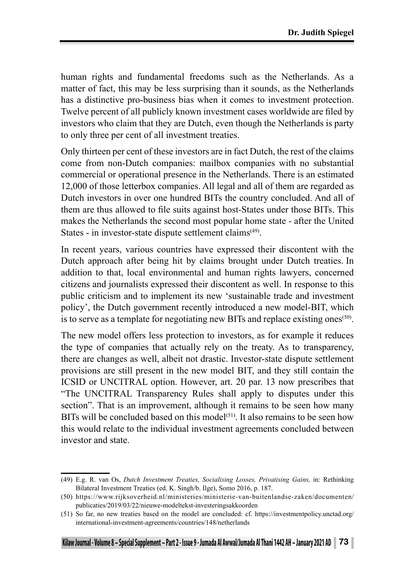human rights and fundamental freedoms such as the Netherlands. As a matter of fact, this may be less surprising than it sounds, as the Netherlands has a distinctive pro-business bias when it comes to investment protection. Twelve percent of all publicly known investment cases worldwide are filed by investors who claim that they are Dutch, even though the Netherlands is party to only three per cent of all investment treaties.

Only thirteen per cent of these investors are in fact Dutch, the rest of the claims come from non-Dutch companies: mailbox companies with no substantial commercial or operational presence in the Netherlands. There is an estimated 12,000 of those letterbox companies. All legal and all of them are regarded as Dutch investors in over one hundred BITs the country concluded. And all of them are thus allowed to file suits against host-States under those BITs. This makes the Netherlands the second most popular home state - after the United States - in investor-state dispute settlement claims<sup>(49)</sup>.

In recent years, various countries have expressed their discontent with the Dutch approach after being hit by claims brought under Dutch treaties. In addition to that, local environmental and human rights lawyers, concerned citizens and journalists expressed their discontent as well. In response to this public criticism and to implement its new 'sustainable trade and investment policy', the Dutch government recently introduced a new model-BIT, which is to serve as a template for negotiating new BITs and replace existing ones<sup> $(50)$ </sup>.

The new model offers less protection to investors, as for example it reduces the type of companies that actually rely on the treaty. As to transparency, there are changes as well, albeit not drastic. Investor-state dispute settlement provisions are still present in the new model BIT, and they still contain the ICSID or UNCITRAL option. However, art. 20 par. 13 now prescribes that "The UNCITRAL Transparency Rules shall apply to disputes under this section". That is an improvement, although it remains to be seen how many BITs will be concluded based on this model<sup> $(51)$ </sup>. It also remains to be seen how this would relate to the individual investment agreements concluded between investor and state.

<sup>(49)</sup> E.g. R. van Os, *Dutch Investment Treaties, Socialising Losses, Privatising Gains,* in: Rethinking Bilateral Investment Treaties (ed. K. Singh/b. Ilge), Somo 2016, p. 187.

<sup>(50)</sup> https://www.rijksoverheid.nl/ministeries/ministerie-van-buitenlandse-zaken/documenten/ publicaties/2019/03/22/nieuwe-modeltekst-investeringsakkoorden

<sup>(51)</sup> So far, no new treaties based on the model are concluded: cf. https://investmentpolicy.unctad.org/ international-investment-agreements/countries/148/netherlands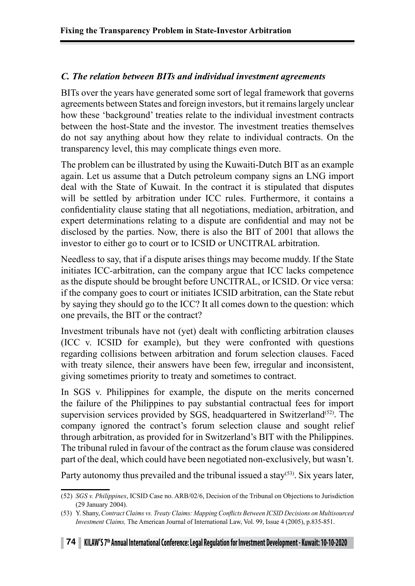# *C. The relation between BITs and individual investment agreements*

BITs over the years have generated some sort of legal framework that governs agreements between States and foreign investors, but it remains largely unclear how these 'background' treaties relate to the individual investment contracts between the host-State and the investor. The investment treaties themselves do not say anything about how they relate to individual contracts. On the transparency level, this may complicate things even more.

The problem can be illustrated by using the Kuwaiti-Dutch BIT as an example again. Let us assume that a Dutch petroleum company signs an LNG import deal with the State of Kuwait. In the contract it is stipulated that disputes will be settled by arbitration under ICC rules. Furthermore, it contains a confidentiality clause stating that all negotiations, mediation, arbitration, and expert determinations relating to a dispute are confidential and may not be disclosed by the parties. Now, there is also the BIT of 2001 that allows the investor to either go to court or to ICSID or UNCITRAL arbitration.

Needless to say, that if a dispute arises things may become muddy. If the State initiates ICC-arbitration, can the company argue that ICC lacks competence as the dispute should be brought before UNCITRAL, or ICSID. Or vice versa: if the company goes to court or initiates ICSID arbitration, can the State rebut by saying they should go to the ICC? It all comes down to the question: which one prevails, the BIT or the contract?

Investment tribunals have not (yet) dealt with conflicting arbitration clauses (ICC v. ICSID for example), but they were confronted with questions regarding collisions between arbitration and forum selection clauses. Faced with treaty silence, their answers have been few, irregular and inconsistent, giving sometimes priority to treaty and sometimes to contract.

In SGS v. Philippines for example, the dispute on the merits concerned the failure of the Philippines to pay substantial contractual fees for import supervision services provided by SGS, headquartered in Switzerland<sup>(52)</sup>. The company ignored the contract's forum selection clause and sought relief through arbitration, as provided for in Switzerland's BIT with the Philippines. The tribunal ruled in favour of the contract as the forum clause was considered part of the deal, which could have been negotiated non-exclusively, but wasn't.

Party autonomy thus prevailed and the tribunal issued a stay<sup>(53)</sup>. Six years later,

<sup>(52)</sup> *SGS v. Philippines*, ICSID Case no. ARB/02/6, Decision of the Tribunal on Objections to Jurisdiction (29 January 2004).

<sup>(53)</sup> Y. Shany, *Contract Claims vs. Treaty Claims: Mapping Conflicts Between ICSID Decisions on Multisourced Investment Claims,* The American Journal of International Law, Vol. 99, Issue 4 (2005), p.835-851.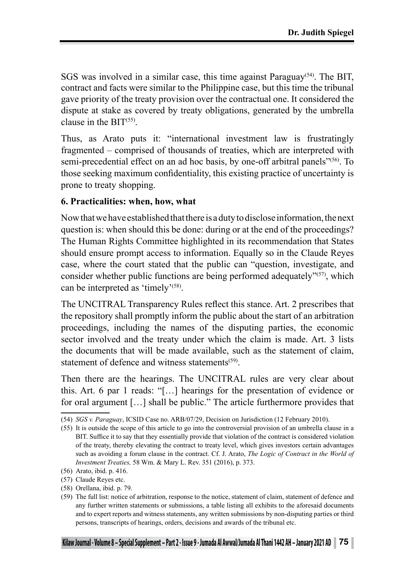SGS was involved in a similar case, this time against Paraguay(54). The BIT, contract and facts were similar to the Philippine case, but this time the tribunal gave priority of the treaty provision over the contractual one. It considered the dispute at stake as covered by treaty obligations, generated by the umbrella clause in the  $\text{BIT}^{(55)}$ .

Thus, as Arato puts it: "international investment law is frustratingly fragmented – comprised of thousands of treaties, which are interpreted with semi-precedential effect on an ad hoc basis, by one-off arbitral panels<sup>"(56)</sup>. To those seeking maximum confidentiality, this existing practice of uncertainty is prone to treaty shopping.

### **6. Practicalities: when, how, what**

Now that we have established that there is a duty to disclose information, the next question is: when should this be done: during or at the end of the proceedings? The Human Rights Committee highlighted in its recommendation that States should ensure prompt access to information. Equally so in the Claude Reyes case, where the court stated that the public can "question, investigate, and consider whether public functions are being performed adequately"(57), which can be interpreted as 'timely'<sup>(58)</sup>.

The UNCITRAL Transparency Rules reflect this stance. Art. 2 prescribes that the repository shall promptly inform the public about the start of an arbitration proceedings, including the names of the disputing parties, the economic sector involved and the treaty under which the claim is made. Art. 3 lists the documents that will be made available, such as the statement of claim, statement of defence and witness statements $(59)$ .

Then there are the hearings. The UNCITRAL rules are very clear about this. Art. 6 par 1 reads: "[…] hearings for the presentation of evidence or for oral argument […] shall be public." The article furthermore provides that

<sup>(54)</sup> *SGS v. Paraguay*, ICSID Case no. ARB/07/29, Decision on Jurisdiction (12 February 2010).

<sup>(55)</sup> It is outside the scope of this article to go into the controversial provision of an umbrella clause in a BIT. Suffice it to say that they essentially provide that violation of the contract is considered violation of the treaty, thereby elevating the contract to treaty level, which gives investors certain advantages such as avoiding a forum clause in the contract. Cf. J. Arato, *The Logic of Contract in the World of Investment Treaties,* 58 Wm. & Mary L. Rev. 351 (2016), p. 373.

<sup>(56)</sup> Arato, ibid. p. 416.

<sup>(57)</sup> Claude Reyes etc.

<sup>(58)</sup> Orellana, ibid. p. 79.

<sup>(59)</sup> The full list: notice of arbitration, response to the notice, statement of claim, statement of defence and any further written statements or submissions, a table listing all exhibits to the aforesaid documents and to expert reports and witness statements, any written submissions by non-disputing parties or third persons, transcripts of hearings, orders, decisions and awards of the tribunal etc.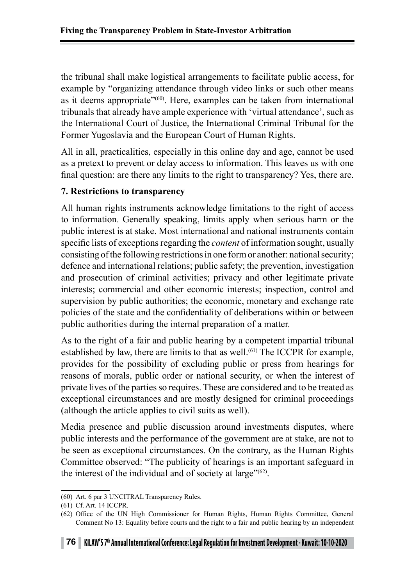the tribunal shall make logistical arrangements to facilitate public access, for example by "organizing attendance through video links or such other means as it deems appropriate"(60). Here, examples can be taken from international tribunals that already have ample experience with 'virtual attendance', such as the International Court of Justice, the International Criminal Tribunal for the Former Yugoslavia and the European Court of Human Rights.

All in all, practicalities, especially in this online day and age, cannot be used as a pretext to prevent or delay access to information. This leaves us with one final question: are there any limits to the right to transparency? Yes, there are.

# **7. Restrictions to transparency**

All human rights instruments acknowledge limitations to the right of access to information. Generally speaking, limits apply when serious harm or the public interest is at stake. Most international and national instruments contain specific lists of exceptions regarding the *content* of information sought, usually consisting of the following restrictions in one form or another: national security; defence and international relations; public safety; the prevention, investigation and prosecution of criminal activities; privacy and other legitimate private interests; commercial and other economic interests; inspection, control and supervision by public authorities; the economic, monetary and exchange rate policies of the state and the confidentiality of deliberations within or between public authorities during the internal preparation of a matter.

As to the right of a fair and public hearing by a competent impartial tribunal established by law, there are limits to that as well.<sup>(61)</sup> The ICCPR for example, provides for the possibility of excluding public or press from hearings for reasons of morals, public order or national security, or when the interest of private lives of the parties so requires. These are considered and to be treated as exceptional circumstances and are mostly designed for criminal proceedings (although the article applies to civil suits as well).

Media presence and public discussion around investments disputes, where public interests and the performance of the government are at stake, are not to be seen as exceptional circumstances. On the contrary, as the Human Rights Committee observed: "The publicity of hearings is an important safeguard in the interest of the individual and of society at large"<sup>(62)</sup>.

<sup>(60)</sup> Art. 6 par 3 UNCITRAL Transparency Rules.

<sup>(61)</sup> Cf. Art. 14 ICCPR.

<sup>(62)</sup> Office of the UN High Commissioner for Human Rights, Human Rights Committee, General Comment No 13: Equality before courts and the right to a fair and public hearing by an independent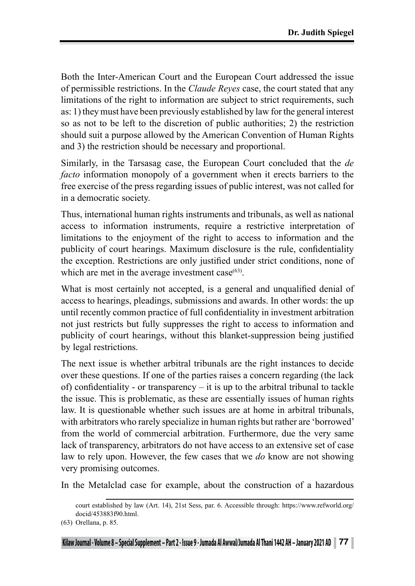Both the Inter-American Court and the European Court addressed the issue of permissible restrictions. In the *Claude Reyes* case, the court stated that any limitations of the right to information are subject to strict requirements, such as: 1) they must have been previously established by law for the general interest so as not to be left to the discretion of public authorities; 2) the restriction should suit a purpose allowed by the American Convention of Human Rights and 3) the restriction should be necessary and proportional.

Similarly, in the Tarsasag case, the European Court concluded that the *de facto* information monopoly of a government when it erects barriers to the free exercise of the press regarding issues of public interest, was not called for in a democratic society.

Thus, international human rights instruments and tribunals, as well as national access to information instruments, require a restrictive interpretation of limitations to the enjoyment of the right to access to information and the publicity of court hearings. Maximum disclosure is the rule, confidentiality the exception. Restrictions are only justified under strict conditions, none of which are met in the average investment case $(63)$ .

What is most certainly not accepted, is a general and unqualified denial of access to hearings, pleadings, submissions and awards. In other words: the up until recently common practice of full confidentiality in investment arbitration not just restricts but fully suppresses the right to access to information and publicity of court hearings, without this blanket-suppression being justified by legal restrictions.

The next issue is whether arbitral tribunals are the right instances to decide over these questions. If one of the parties raises a concern regarding (the lack of) confidentiality - or transparency – it is up to the arbitral tribunal to tackle the issue. This is problematic, as these are essentially issues of human rights law. It is questionable whether such issues are at home in arbitral tribunals, with arbitrators who rarely specialize in human rights but rather are 'borrowed' from the world of commercial arbitration. Furthermore, due the very same lack of transparency, arbitrators do not have access to an extensive set of case law to rely upon. However, the few cases that we *do* know are not showing very promising outcomes.

In the Metalclad case for example, about the construction of a hazardous

court established by law (Art. 14), 21st Sess, par. 6. Accessible through: https://www.refworld.org/ docid/453883f90.html.

<sup>(63)</sup> Orellana, p. 85.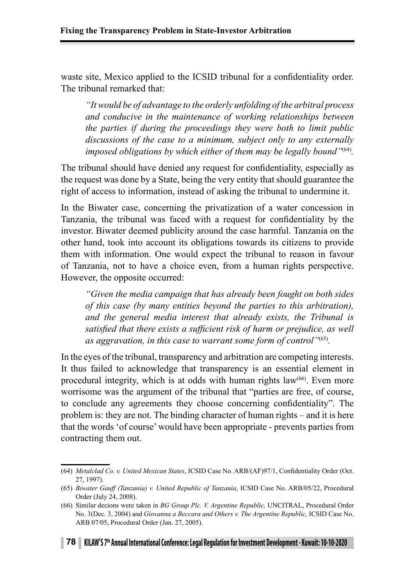waste site, Mexico applied to the ICSID tribunal for a confidentiality order. The tribunal remarked that:

*"It would be of advantage to the orderly unfolding of the arbitral process and conducive in the maintenance of working relationships between the parties if during the proceedings they were both to limit public discussions of the case to a minimum, subject only to any externally imposed obligations by which either of them may be legally bound"*(64)*.*

The tribunal should have denied any request for confidentiality, especially as the request was done by a State, being the very entity that should guarantee the right of access to information, instead of asking the tribunal to undermine it.

In the Biwater case, concerning the privatization of a water concession in Tanzania, the tribunal was faced with a request for confidentiality by the investor. Biwater deemed publicity around the case harmful. Tanzania on the other hand, took into account its obligations towards its citizens to provide them with information. One would expect the tribunal to reason in favour of Tanzania, not to have a choice even, from a human rights perspective. However, the opposite occurred:

*"Given the media campaign that has already been fought on both sides of this case (by many entities beyond the parties to this arbitration), and the general media interest that already exists, the Tribunal is satisfied that there exists a sufficient risk of harm or prejudice, as well as aggravation, in this case to warrant some form of control"*(65)*.*

In the eyes of the tribunal, transparency and arbitration are competing interests. It thus failed to acknowledge that transparency is an essential element in procedural integrity, which is at odds with human rights law $(66)$ . Even more worrisome was the argument of the tribunal that "parties are free, of course, to conclude any agreements they choose concerning confidentiality". The problem is: they are not. The binding character of human rights – and it is here that the words 'of course' would have been appropriate - prevents parties from contracting them out.

<sup>(64)</sup> *Metalclad Co. v. United Mexican States*, ICSID Case No. ARB/(AF)97/1, Confidentiality Order (Oct. 27, 1997).

<sup>(65)</sup> *Biwater Gauff (Tanzania) v. United Republic of Tanzania*, ICSID Case No. ARB/05/22, Procedural Order (July 24, 2008).

<sup>(66)</sup> Similar decions were taken in *BG Group Plc. V. Argentine Republic,* UNCITRAL, Procedural Order No. 3(Dec. 3, 2004) and *Giovanna a Beccara and Others v. The Argentine Republic,* ICSID Case No. ARB 07/05, Procedural Order (Jan. 27, 2005).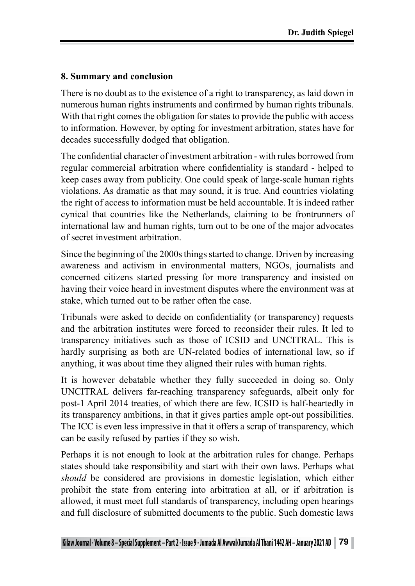# **8. Summary and conclusion**

There is no doubt as to the existence of a right to transparency, as laid down in numerous human rights instruments and confirmed by human rights tribunals. With that right comes the obligation for states to provide the public with access to information. However, by opting for investment arbitration, states have for decades successfully dodged that obligation.

The confidential character of investment arbitration - with rules borrowed from regular commercial arbitration where confidentiality is standard - helped to keep cases away from publicity. One could speak of large-scale human rights violations. As dramatic as that may sound, it is true. And countries violating the right of access to information must be held accountable. It is indeed rather cynical that countries like the Netherlands, claiming to be frontrunners of international law and human rights, turn out to be one of the major advocates of secret investment arbitration.

Since the beginning of the 2000s things started to change. Driven by increasing awareness and activism in environmental matters, NGOs, journalists and concerned citizens started pressing for more transparency and insisted on having their voice heard in investment disputes where the environment was at stake, which turned out to be rather often the case.

Tribunals were asked to decide on confidentiality (or transparency) requests and the arbitration institutes were forced to reconsider their rules. It led to transparency initiatives such as those of ICSID and UNCITRAL. This is hardly surprising as both are UN-related bodies of international law, so if anything, it was about time they aligned their rules with human rights.

It is however debatable whether they fully succeeded in doing so. Only UNCITRAL delivers far-reaching transparency safeguards, albeit only for post-1 April 2014 treaties, of which there are few. ICSID is half-heartedly in its transparency ambitions, in that it gives parties ample opt-out possibilities. The ICC is even less impressive in that it offers a scrap of transparency, which can be easily refused by parties if they so wish.

Perhaps it is not enough to look at the arbitration rules for change. Perhaps states should take responsibility and start with their own laws. Perhaps what *should* be considered are provisions in domestic legislation, which either prohibit the state from entering into arbitration at all, or if arbitration is allowed, it must meet full standards of transparency, including open hearings and full disclosure of submitted documents to the public. Such domestic laws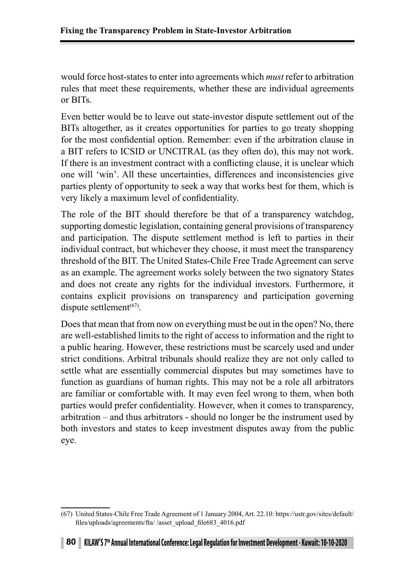would force host-states to enter into agreements which *must* refer to arbitration rules that meet these requirements, whether these are individual agreements or BITs.

Even better would be to leave out state-investor dispute settlement out of the BITs altogether, as it creates opportunities for parties to go treaty shopping for the most confidential option. Remember: even if the arbitration clause in a BIT refers to ICSID or UNCITRAL (as they often do), this may not work. If there is an investment contract with a conflicting clause, it is unclear which one will 'win'. All these uncertainties, differences and inconsistencies give parties plenty of opportunity to seek a way that works best for them, which is very likely a maximum level of confidentiality.

The role of the BIT should therefore be that of a transparency watchdog, supporting domestic legislation, containing general provisions of transparency and participation. The dispute settlement method is left to parties in their individual contract, but whichever they choose, it must meet the transparency threshold of the BIT. The United States-Chile Free Trade Agreement can serve as an example. The agreement works solely between the two signatory States and does not create any rights for the individual investors. Furthermore, it contains explicit provisions on transparency and participation governing dispute settlement $(67)$ .

Does that mean that from now on everything must be out in the open? No, there are well-established limits to the right of access to information and the right to a public hearing. However, these restrictions must be scarcely used and under strict conditions. Arbitral tribunals should realize they are not only called to settle what are essentially commercial disputes but may sometimes have to function as guardians of human rights. This may not be a role all arbitrators are familiar or comfortable with. It may even feel wrong to them, when both parties would prefer confidentiality. However, when it comes to transparency, arbitration – and thus arbitrators - should no longer be the instrument used by both investors and states to keep investment disputes away from the public eye.

<sup>(67)</sup> United States-Chile Free Trade Agreement of 1 January 2004, Art. 22.10: https://ustr.gov/sites/default/ files/uploads/agreements/fta/ /asset\_upload\_file683\_4016.pdf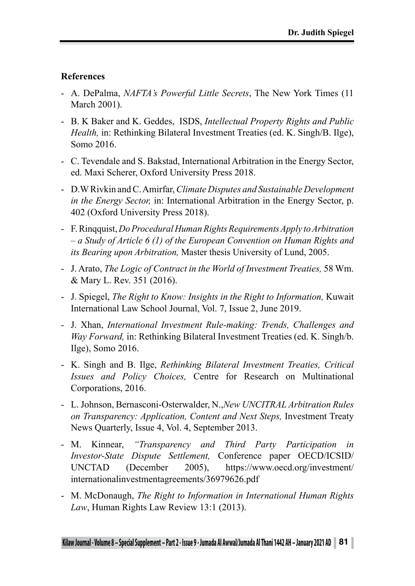# **References**

- A. DePalma, *NAFTA's Powerful Little Secrets*, The New York Times (11 March 2001).
- B. K Baker and K. Geddes, ISDS, *Intellectual Property Rights and Public Health,* in: Rethinking Bilateral Investment Treaties (ed. K. Singh/B. Ilge), Somo 2016.
- C. Tevendale and S. Bakstad, International Arbitration in the Energy Sector, ed. Maxi Scherer, Oxford University Press 2018.
- D.W Rivkin and C. Amirfar, *Climate Disputes and Sustainable Development in the Energy Sector,* in: International Arbitration in the Energy Sector, p. 402 (Oxford University Press 2018).
- F. Rinqquist, *Do Procedural Human Rights Requirements Apply to Arbitration – a Study of Article 6 (1) of the European Convention on Human Rights and its Bearing upon Arbitration,* Master thesis University of Lund, 2005.
- J. Arato, *The Logic of Contract in the World of Investment Treaties,* 58 Wm. & Mary L. Rev. 351 (2016).
- J. Spiegel, *The Right to Know: Insights in the Right to Information,* Kuwait International Law School Journal, Vol. 7, Issue 2, June 2019.
- J. Xhan, *International Investment Rule-making: Trends, Challenges and Way Forward,* in: Rethinking Bilateral Investment Treaties (ed. K. Singh/b. Ilge), Somo 2016.
- K. Singh and B. Ilge, *Rethinking Bilateral Investment Treaties, Critical Issues and Policy Choices,* Centre for Research on Multinational Corporations, 2016.
- L. Johnson, Bernasconi-Osterwalder, N.,*New UNCITRAL Arbitration Rules on Transparency: Application, Content and Next Steps,* Investment Treaty News Quarterly, Issue 4, Vol. 4, September 2013.
- M. Kinnear, *"Transparency and Third Party Participation in Investor-State Dispute Settlement,* Conference paper OECD/ICSID/ UNCTAD (December 2005), https://www.oecd.org/investment/ internationalinvestmentagreements/36979626.pdf
- M. McDonaugh, *The Right to Information in International Human Rights Law*, Human Rights Law Review 13:1 (2013).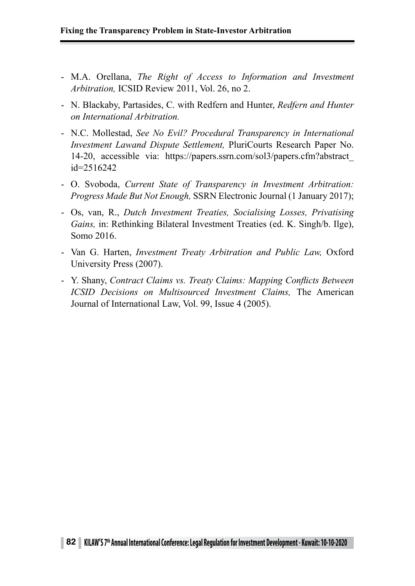- M.A. Orellana, *The Right of Access to Information and Investment Arbitration,* ICSID Review 2011, Vol. 26, no 2.
- N. Blackaby, Partasides, C. with Redfern and Hunter, *Redfern and Hunter on International Arbitration.*
- N.C. Mollestad, *See No Evil? Procedural Transparency in International Investment Lawand Dispute Settlement,* PluriCourts Research Paper No. 14-20, accessible via: https://papers.ssrn.com/sol3/papers.cfm?abstract\_ id=2516242
- O. Svoboda, *Current State of Transparency in Investment Arbitration: Progress Made But Not Enough,* SSRN Electronic Journal (1 January 2017);
- Os, van, R., *Dutch Investment Treaties, Socialising Losses, Privatising Gains,* in: Rethinking Bilateral Investment Treaties (ed. K. Singh/b. Ilge), Somo 2016.
- Van G. Harten, *Investment Treaty Arbitration and Public Law,* Oxford University Press (2007).
- Y. Shany, *Contract Claims vs. Treaty Claims: Mapping Conflicts Between ICSID Decisions on Multisourced Investment Claims,* The American Journal of International Law, Vol. 99, Issue 4 (2005).